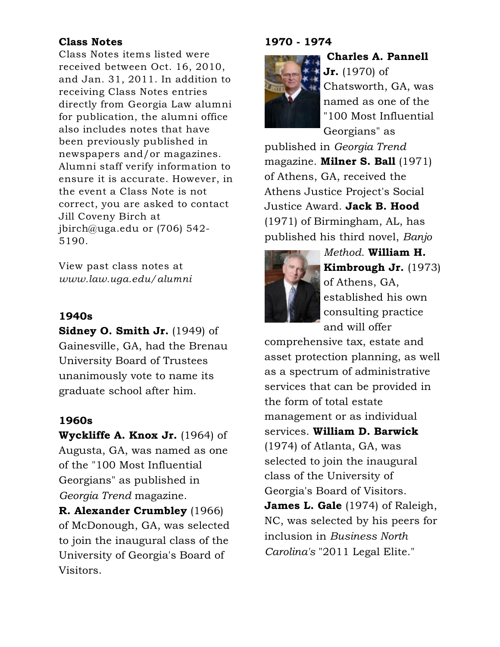## Class Notes

Class Notes items listed were received between Oct. 16, 2010, and Jan. 31, 2011. In addition to receiving Class Notes entries directly from Georgia Law alumni for publication, the alumni office also includes notes that have been previously published in newspapers and/or magazines. Alumni staff verify information to ensure it is accurate. However, in the event a Class Note is not correct, you are asked to contact Jill Coveny Birch at jbirch@uga.edu or (706) 542- 5190.

View past class notes at *www.law.uga.edu/alumni*

## 1940s

Sidney O. Smith Jr. (1949) of Gainesville, GA, had the Brenau University Board of Trustees unanimously vote to name its graduate school after him.

## 1960s

Wyckliffe A. Knox Jr. (1964) of Augusta, GA, was named as one of the "100 Most Influential Georgians" as published in *Georgia Trend* magazine.

R. Alexander Crumbley (1966) of McDonough, GA, was selected to join the inaugural class of the University of Georgia's Board of Visitors.

### 1970 - 1974



Jr. (1970) of Chatsworth, GA, was named as one of the "100 Most Influential Georgians" as

Charles A. Pannell

published in *Georgia Trend* magazine. **Milner S. Ball** (1971) of Athens, GA, received the Athens Justice Project's Social Justice Award. Jack B. Hood (1971) of Birmingham, AL, has published his third novel, *Banjo*



*Method*. William H. Kimbrough Jr. (1973) of Athens, GA, established his own consulting practice and will offer

comprehensive tax, estate and asset protection planning, as well as a spectrum of administrative services that can be provided in the form of total estate management or as individual services. William D. Barwick (1974) of Atlanta, GA, was selected to join the inaugural class of the University of Georgia's Board of Visitors. James L. Gale (1974) of Raleigh, NC, was selected by his peers for inclusion in *Business North Carolina's* "2011 Legal Elite."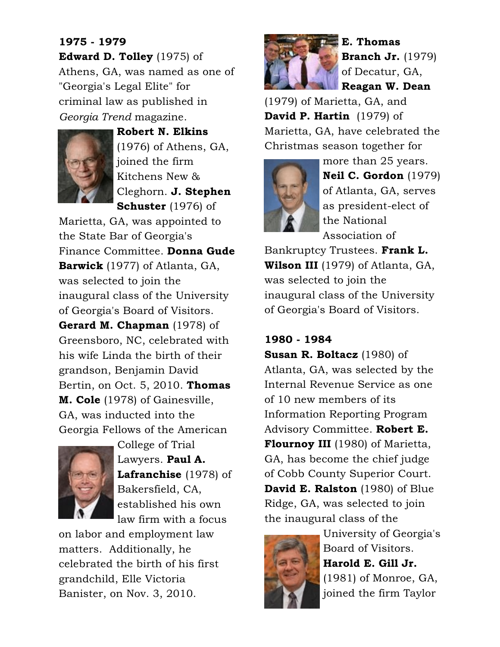# 1975 - 1979 Edward D. Tolley (1975) of Athens, GA, was named as one of "Georgia's Legal Elite" for criminal law as published in *Georgia Trend* magazine.



Robert N. Elkins (1976) of Athens, GA, joined the firm Kitchens New & Cleghorn. J. Stephen Schuster (1976) of

Marietta, GA, was appointed to the State Bar of Georgia's Finance Committee. Donna Gude Barwick (1977) of Atlanta, GA, was selected to join the inaugural class of the University of Georgia's Board of Visitors. Gerard M. Chapman (1978) of Greensboro, NC, celebrated with his wife Linda the birth of their grandson, Benjamin David Bertin, on Oct. 5, 2010. Thomas M. Cole (1978) of Gainesville, GA, was inducted into the Georgia Fellows of the American



College of Trial Lawyers. Paul A. Lafranchise (1978) of Bakersfield, CA, established his own law firm with a focus

on labor and employment law matters. Additionally, he celebrated the birth of his first grandchild, Elle Victoria Banister, on Nov. 3, 2010.



E. Thomas Branch Jr. (1979) of Decatur, GA, Reagan W. Dean

(1979) of Marietta, GA, and **David P. Hartin** (1979) of Marietta, GA, have celebrated the Christmas season together for



more than 25 years. Neil C. Gordon (1979) of Atlanta, GA, serves as president-elect of the National Association of

Bankruptcy Trustees. Frank L. **Wilson III** (1979) of Atlanta, GA, was selected to join the inaugural class of the University of Georgia's Board of Visitors.

# 1980 - 1984

Susan R. Boltacz (1980) of Atlanta, GA, was selected by the Internal Revenue Service as one of 10 new members of its Information Reporting Program Advisory Committee. Robert E. Flournoy III (1980) of Marietta, GA, has become the chief judge of Cobb County Superior Court. **David E. Ralston** (1980) of Blue Ridge, GA, was selected to join the inaugural class of the



University of Georgia's Board of Visitors. Harold E. Gill Jr. (1981) of Monroe, GA, joined the firm Taylor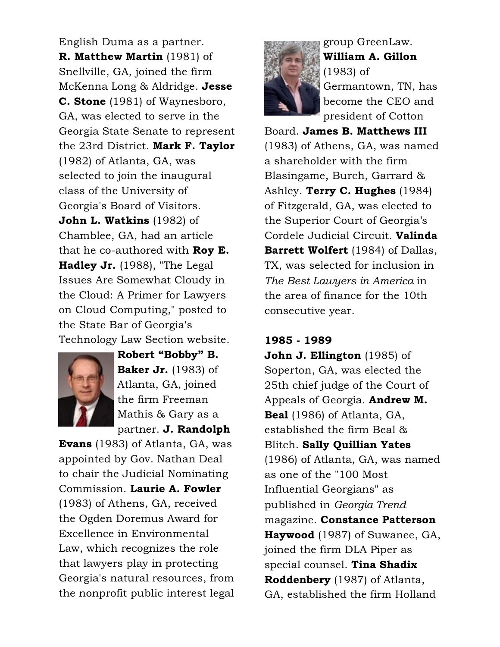English Duma as a partner. R. Matthew Martin (1981) of Snellville, GA, joined the firm McKenna Long & Aldridge. Jesse C. Stone (1981) of Waynesboro, GA, was elected to serve in the Georgia State Senate to represent the 23rd District. Mark F. Taylor (1982) of Atlanta, GA, was selected to join the inaugural class of the University of Georgia's Board of Visitors. John L. Watkins (1982) of Chamblee, GA, had an article that he co-authored with **Roy E.** Hadley Jr. (1988), "The Legal Issues Are Somewhat Cloudy in the Cloud: A Primer for Lawyers on Cloud Computing," posted to the State Bar of Georgia's Technology Law Section website.



Robert "Bobby" B. **Baker Jr.** (1983) of Atlanta, GA, joined the firm Freeman Mathis & Gary as a partner. J. Randolph

Evans (1983) of Atlanta, GA, was appointed by Gov. Nathan Deal to chair the Judicial Nominating Commission. Laurie A. Fowler (1983) of Athens, GA, received the Ogden Doremus Award for Excellence in Environmental Law, which recognizes the role that lawyers play in protecting Georgia's natural resources, from the nonprofit public interest legal



group GreenLaw. William A. Gillon (1983) of Germantown, TN, has become the CEO and president of Cotton

Board. James B. Matthews III (1983) of Athens, GA, was named a shareholder with the firm Blasingame, Burch, Garrard & Ashley. Terry C. Hughes (1984) of Fitzgerald, GA, was elected to the Superior Court of Georgia's Cordele Judicial Circuit. Valinda **Barrett Wolfert** (1984) of Dallas, TX, was selected for inclusion in *The Best Lawyers in America* in the area of finance for the 10th consecutive year.

#### 1985 - 1989

John J. Ellington (1985) of Soperton, GA, was elected the 25th chief judge of the Court of Appeals of Georgia. **Andrew M.** Beal (1986) of Atlanta, GA, established the firm Beal & Blitch. Sally Quillian Yates (1986) of Atlanta, GA, was named as one of the "100 Most Influential Georgians" as published in *Georgia Trend* magazine. Constance Patterson Haywood (1987) of Suwanee, GA, joined the firm DLA Piper as special counsel. Tina Shadix Roddenbery (1987) of Atlanta, GA, established the firm Holland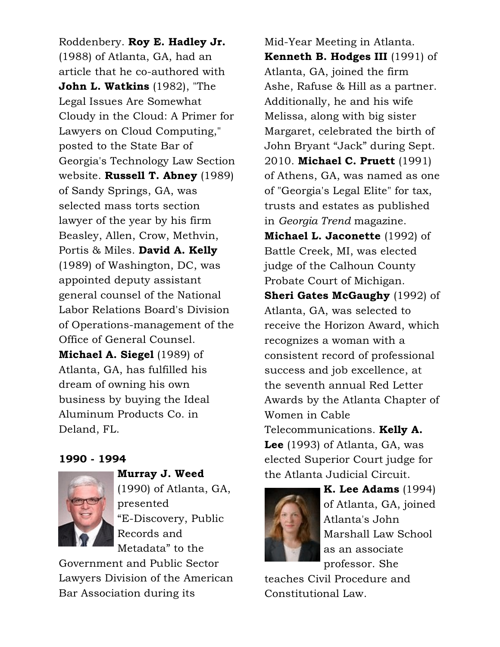Roddenbery. Roy E. Hadley Jr. (1988) of Atlanta, GA, had an article that he co-authored with John L. Watkins (1982), "The Legal Issues Are Somewhat Cloudy in the Cloud: A Primer for Lawyers on Cloud Computing," posted to the State Bar of Georgia's Technology Law Section website. Russell T. Abney (1989) of Sandy Springs, GA, was selected mass torts section lawyer of the year by his firm Beasley, Allen, Crow, Methvin, Portis & Miles. David A. Kelly (1989) of Washington, DC, was appointed deputy assistant general counsel of the National Labor Relations Board's Division of Operations-management of the Office of General Counsel. Michael A. Siegel (1989) of Atlanta, GA, has fulfilled his dream of owning his own business by buying the Ideal Aluminum Products Co. in Deland, FL.

#### 1990 - 1994



Murray J. Weed (1990) of Atlanta, GA, presented "E-Discovery, Public Records and Metadata" to the

Government and Public Sector Lawyers Division of the American Bar Association during its

Mid-Year Meeting in Atlanta. Kenneth B. Hodges III (1991) of Atlanta, GA, joined the firm Ashe, Rafuse & Hill as a partner. Additionally, he and his wife Melissa, along with big sister Margaret, celebrated the birth of John Bryant "Jack" during Sept. 2010. Michael C. Pruett (1991) of Athens, GA, was named as one of "Georgia's Legal Elite" for tax, trusts and estates as published in *Georgia Trend* magazine. Michael L. Jaconette (1992) of Battle Creek, MI, was elected judge of the Calhoun County Probate Court of Michigan. **Sheri Gates McGaughy** (1992) of Atlanta, GA, was selected to receive the Horizon Award, which recognizes a woman with a consistent record of professional success and job excellence, at the seventh annual Red Letter Awards by the Atlanta Chapter of Women in Cable Telecommunications. Kelly A. Lee (1993) of Atlanta, GA, was elected Superior Court judge for the Atlanta Judicial Circuit.



K. Lee Adams (1994) of Atlanta, GA, joined Atlanta's John Marshall Law School as an associate professor. She

teaches Civil Procedure and Constitutional Law.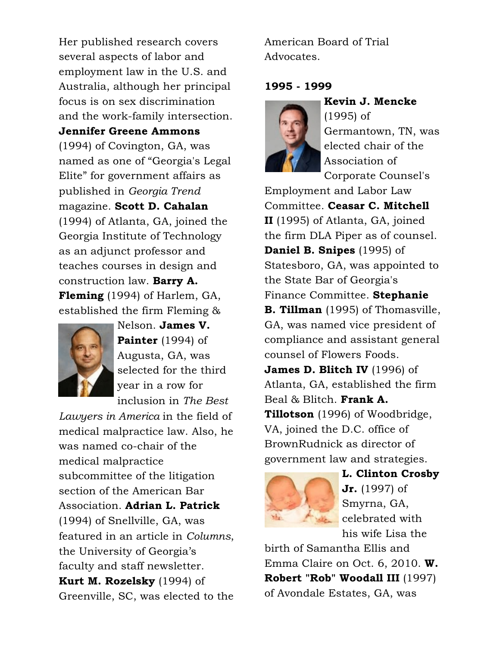Her published research covers several aspects of labor and employment law in the U.S. and Australia, although her principal focus is on sex discrimination and the work-family intersection.

#### Jennifer Greene Ammons

(1994) of Covington, GA, was named as one of "Georgia's Legal Elite" for government affairs as published in *Georgia Trend* magazine. Scott D. Cahalan (1994) of Atlanta, GA, joined the Georgia Institute of Technology as an adjunct professor and teaches courses in design and construction law. Barry A. Fleming (1994) of Harlem, GA, established the firm Fleming &



Nelson. James V. Painter (1994) of Augusta, GA, was selected for the third year in a row for inclusion in *The Best*

*Lawyers in America* in the field of medical malpractice law. Also, he was named co-chair of the medical malpractice subcommittee of the litigation section of the American Bar Association. Adrian L. Patrick (1994) of Snellville, GA, was featured in an article in *Columns*, the University of Georgia's faculty and staff newsletter. Kurt M. Rozelsky (1994) of Greenville, SC, was elected to the American Board of Trial Advocates.

### 1995 - 1999



(1995) of Germantown, TN, was elected chair of the Association of Corporate Counsel's

Employment and Labor Law Committee. Ceasar C. Mitchell II (1995) of Atlanta, GA, joined the firm DLA Piper as of counsel. Daniel B. Snipes (1995) of Statesboro, GA, was appointed to the State Bar of Georgia's Finance Committee. Stephanie **B. Tillman** (1995) of Thomasville, GA, was named vice president of compliance and assistant general counsel of Flowers Foods. James D. Blitch IV (1996) of Atlanta, GA, established the firm Beal & Blitch. Frank A. **Tillotson** (1996) of Woodbridge, VA, joined the D.C. office of BrownRudnick as director of government law and strategies.



L. Clinton Crosby Jr. (1997) of Smyrna, GA, celebrated with his wife Lisa the

birth of Samantha Ellis and Emma Claire on Oct. 6, 2010. W. Robert "Rob" Woodall III (1997) of Avondale Estates, GA, was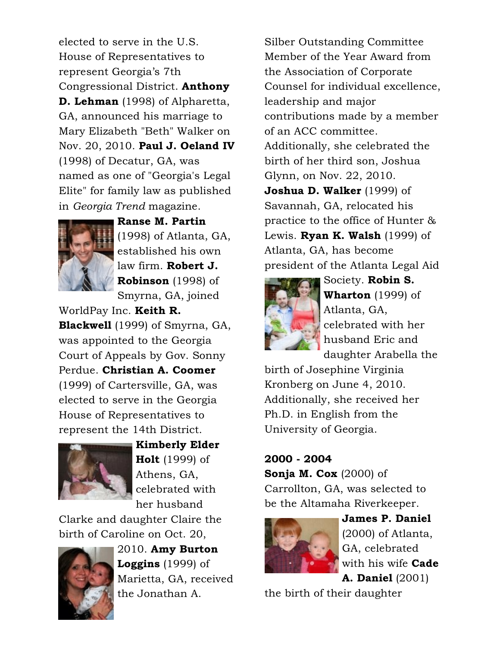elected to serve in the U.S. House of Representatives to represent Georgia's 7th Congressional District. Anthony **D. Lehman** (1998) of Alpharetta, GA, announced his marriage to Mary Elizabeth "Beth" Walker on Nov. 20, 2010. Paul J. Oeland IV (1998) of Decatur, GA, was named as one of "Georgia's Legal Elite" for family law as published in *Georgia Trend* magazine.



Ranse M. Partin (1998) of Atlanta, GA, established his own law firm. Robert J. Robinson (1998) of Smyrna, GA, joined

WorldPay Inc. Keith R. Blackwell (1999) of Smyrna, GA, was appointed to the Georgia Court of Appeals by Gov. Sonny Perdue. Christian A. Coomer (1999) of Cartersville, GA, was elected to serve in the Georgia House of Representatives to represent the 14th District.



Kimberly Elder **Holt** (1999) of Athens, GA, celebrated with her husband

Clarke and daughter Claire the birth of Caroline on Oct. 20,



2010. Amy Burton **Loggins** (1999) of Marietta, GA, received the Jonathan A.

Silber Outstanding Committee Member of the Year Award from the Association of Corporate Counsel for individual excellence, leadership and major contributions made by a member of an ACC committee. Additionally, she celebrated the birth of her third son, Joshua Glynn, on Nov. 22, 2010. Joshua D. Walker (1999) of Savannah, GA, relocated his practice to the office of Hunter & Lewis. **Ryan K. Walsh** (1999) of Atlanta, GA, has become president of the Atlanta Legal Aid



Society. Robin S. **Wharton** (1999) of Atlanta, GA, celebrated with her husband Eric and daughter Arabella the

birth of Josephine Virginia Kronberg on June 4, 2010. Additionally, she received her Ph.D. in English from the University of Georgia.

## 2000 - 2004

Sonja M. Cox  $(2000)$  of Carrollton, GA, was selected to be the Altamaha Riverkeeper.



James P. Daniel (2000) of Atlanta, GA, celebrated with his wife Cade A. Daniel (2001)

the birth of their daughter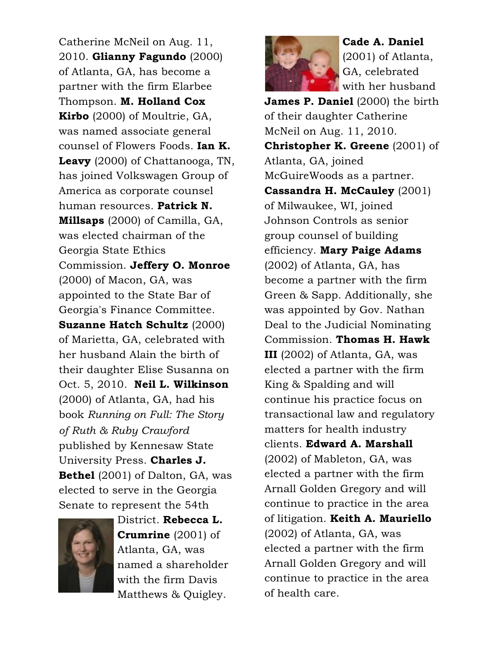Catherine McNeil on Aug. 11, 2010. Glianny Fagundo (2000) of Atlanta, GA, has become a partner with the firm Elarbee Thompson. **M. Holland Cox** Kirbo (2000) of Moultrie, GA, was named associate general counsel of Flowers Foods. Ian K. Leavy (2000) of Chattanooga, TN, has joined Volkswagen Group of America as corporate counsel human resources. Patrick N. Millsaps (2000) of Camilla, GA, was elected chairman of the Georgia State Ethics Commission. Jeffery O. Monroe (2000) of Macon, GA, was appointed to the State Bar of Georgia's Finance Committee. Suzanne Hatch Schultz (2000) of Marietta, GA, celebrated with her husband Alain the birth of their daughter Elise Susanna on Oct. 5, 2010. Neil L. Wilkinson (2000) of Atlanta, GA, had his book *Running on Full: The Story of Ruth & Ruby Crawford* published by Kennesaw State University Press. Charles J. Bethel (2001) of Dalton, GA, was elected to serve in the Georgia Senate to represent the 54th



District. Rebecca L. Crumrine (2001) of Atlanta, GA, was named a shareholder with the firm Davis Matthews & Quigley.



Cade A. Daniel (2001) of Atlanta, GA, celebrated with her husband

James P. Daniel (2000) the birth of their daughter Catherine McNeil on Aug. 11, 2010. **Christopher K. Greene** (2001) of Atlanta, GA, joined McGuireWoods as a partner. Cassandra H. McCauley (2001) of Milwaukee, WI, joined Johnson Controls as senior group counsel of building efficiency. Mary Paige Adams (2002) of Atlanta, GA, has become a partner with the firm Green & Sapp. Additionally, she was appointed by Gov. Nathan Deal to the Judicial Nominating Commission. Thomas H. Hawk III (2002) of Atlanta, GA, was elected a partner with the firm King & Spalding and will continue his practice focus on transactional law and regulatory matters for health industry clients. Edward A. Marshall (2002) of Mableton, GA, was elected a partner with the firm Arnall Golden Gregory and will continue to practice in the area of litigation. Keith A. Mauriello (2002) of Atlanta, GA, was elected a partner with the firm Arnall Golden Gregory and will continue to practice in the area of health care.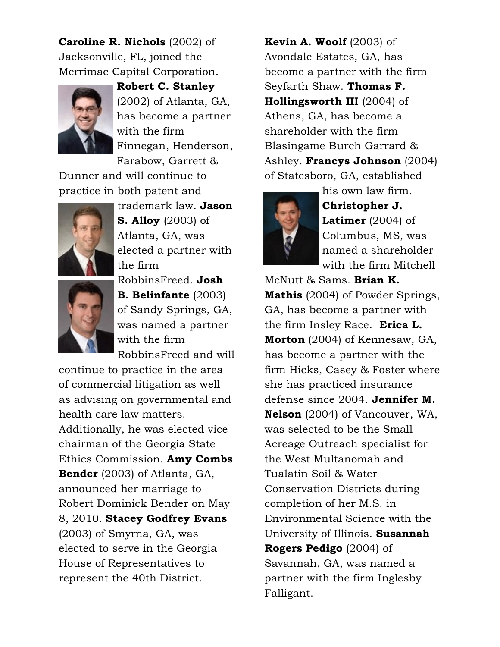Caroline R. Nichols (2002) of Jacksonville, FL, joined the Merrimac Capital Corporation.



Robert C. Stanley (2002) of Atlanta, GA, has become a partner with the firm Finnegan, Henderson, Farabow, Garrett &

Dunner and will continue to practice in both patent and



trademark law. Jason **S. Alloy** (2003) of Atlanta, GA, was elected a partner with the firm



RobbinsFreed. Josh B. Belinfante (2003) of Sandy Springs, GA, was named a partner with the firm RobbinsFreed and will

continue to practice in the area of commercial litigation as well as advising on governmental and health care law matters. Additionally, he was elected vice chairman of the Georgia State Ethics Commission. Amy Combs Bender (2003) of Atlanta, GA, announced her marriage to Robert Dominick Bender on May 8, 2010. Stacey Godfrey Evans (2003) of Smyrna, GA, was elected to serve in the Georgia House of Representatives to represent the 40th District.

**Kevin A. Woolf**  $(2003)$  of Avondale Estates, GA, has become a partner with the firm Seyfarth Shaw. Thomas F. Hollingsworth III (2004) of Athens, GA, has become a shareholder with the firm Blasingame Burch Garrard & Ashley. Francys Johnson (2004) of Statesboro, GA, established



his own law firm. Christopher J. **Latimer** (2004) of Columbus, MS, was named a shareholder with the firm Mitchell

McNutt & Sams. Brian K. Mathis (2004) of Powder Springs, GA, has become a partner with the firm Insley Race. Erica L. Morton (2004) of Kennesaw, GA, has become a partner with the firm Hicks, Casey & Foster where she has practiced insurance defense since 2004. Jennifer M. Nelson (2004) of Vancouver, WA, was selected to be the Small Acreage Outreach specialist for the West Multanomah and Tualatin Soil & Water Conservation Districts during completion of her M.S. in Environmental Science with the University of Illinois. Susannah Rogers Pedigo (2004) of Savannah, GA, was named a partner with the firm Inglesby Falligant.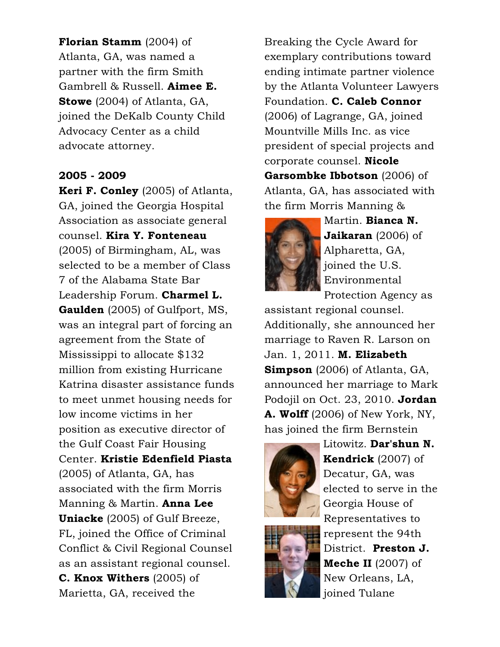Florian Stamm (2004) of Atlanta, GA, was named a partner with the firm Smith Gambrell & Russell. Aimee E. Stowe (2004) of Atlanta, GA, joined the DeKalb County Child Advocacy Center as a child advocate attorney.

#### 2005 - 2009

Keri F. Conley (2005) of Atlanta, GA, joined the Georgia Hospital Association as associate general counsel. Kira Y. Fonteneau (2005) of Birmingham, AL, was selected to be a member of Class 7 of the Alabama State Bar Leadership Forum. Charmel L. Gaulden (2005) of Gulfport, MS, was an integral part of forcing an agreement from the State of Mississippi to allocate \$132 million from existing Hurricane Katrina disaster assistance funds to meet unmet housing needs for low income victims in her position as executive director of the Gulf Coast Fair Housing Center. Kristie Edenfield Piasta (2005) of Atlanta, GA, has associated with the firm Morris Manning & Martin. Anna Lee Uniacke (2005) of Gulf Breeze, FL, joined the Office of Criminal Conflict & Civil Regional Counsel as an assistant regional counsel. C. Knox Withers (2005) of Marietta, GA, received the

Breaking the Cycle Award for exemplary contributions toward ending intimate partner violence by the Atlanta Volunteer Lawyers Foundation. C. Caleb Connor (2006) of Lagrange, GA, joined Mountville Mills Inc. as vice president of special projects and corporate counsel. Nicole Garsombke Ibbotson (2006) of Atlanta, GA, has associated with the firm Morris Manning &



Martin. Bianca N. Jaikaran (2006) of Alpharetta, GA, joined the U.S. Environmental Protection Agency as

assistant regional counsel. Additionally, she announced her marriage to Raven R. Larson on Jan. 1, 2011. **M. Elizabeth Simpson** (2006) of Atlanta, GA, announced her marriage to Mark Podojil on Oct. 23, 2010. Jordan A. Wolff (2006) of New York, NY, has joined the firm Bernstein



Litowitz. Dar'shun N. Kendrick (2007) of Decatur, GA, was elected to serve in the Georgia House of Representatives to represent the 94th District. Preston J. Meche II (2007) of New Orleans, LA, joined Tulane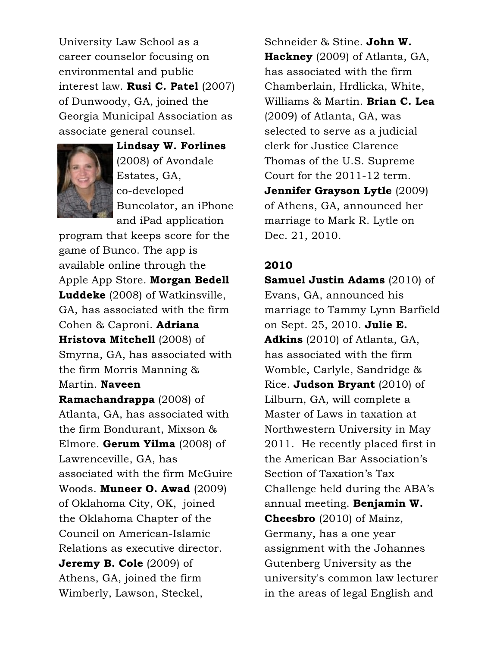University Law School as a career counselor focusing on environmental and public interest law. Rusi C. Patel (2007) of Dunwoody, GA, joined the Georgia Municipal Association as associate general counsel.



Lindsay W. Forlines (2008) of Avondale Estates, GA, co-developed Buncolator, an iPhone and iPad application

program that keeps score for the game of Bunco. The app is available online through the Apple App Store. Morgan Bedell Luddeke (2008) of Watkinsville, GA, has associated with the firm Cohen & Caproni. Adriana Hristova Mitchell (2008) of Smyrna, GA, has associated with the firm Morris Manning & Martin. Naveen

Ramachandrappa (2008) of Atlanta, GA, has associated with the firm Bondurant, Mixson & Elmore. **Gerum Yilma** (2008) of Lawrenceville, GA, has associated with the firm McGuire Woods. Muneer O. Awad (2009) of Oklahoma City, OK, joined the Oklahoma Chapter of the Council on American-Islamic Relations as executive director. Jeremy B. Cole (2009) of Athens, GA, joined the firm Wimberly, Lawson, Steckel,

Schneider & Stine. John W. Hackney (2009) of Atlanta, GA, has associated with the firm Chamberlain, Hrdlicka, White, Williams & Martin. **Brian C. Lea** (2009) of Atlanta, GA, was selected to serve as a judicial clerk for Justice Clarence Thomas of the U.S. Supreme Court for the 2011-12 term. Jennifer Grayson Lytle (2009) of Athens, GA, announced her marriage to Mark R. Lytle on Dec. 21, 2010.

### 2010

Samuel Justin Adams (2010) of Evans, GA, announced his marriage to Tammy Lynn Barfield on Sept. 25, 2010. Julie E. Adkins (2010) of Atlanta, GA, has associated with the firm Womble, Carlyle, Sandridge & Rice. Judson Bryant  $(2010)$  of Lilburn, GA, will complete a Master of Laws in taxation at Northwestern University in May 2011. He recently placed first in the American Bar Association's Section of Taxation's Tax Challenge held during the ABA's annual meeting. Benjamin W. Cheesbro (2010) of Mainz, Germany, has a one year assignment with the Johannes Gutenberg University as the university's common law lecturer in the areas of legal English and